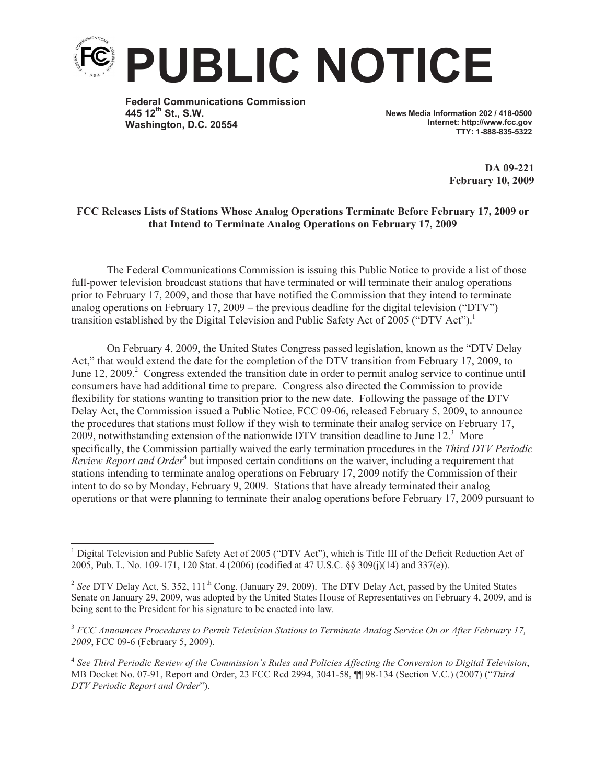

**Federal Communications Commission 445 12th St., S.W. Washington, D.C. 20554**

**News Media Information 202 / 418-0500 Internet: http://www.fcc.gov TTY: 1-888-835-5322**

> **DA 09-221 February 10, 2009**

## **FCC Releases Lists of Stations Whose Analog Operations Terminate Before February 17, 2009 or that Intend to Terminate Analog Operations on February 17, 2009**

The Federal Communications Commission is issuing this Public Notice to provide a list of those full-power television broadcast stations that have terminated or will terminate their analog operations prior to February 17, 2009, and those that have notified the Commission that they intend to terminate analog operations on February 17, 2009 – the previous deadline for the digital television ("DTV") transition established by the Digital Television and Public Safety Act of 2005 ("DTV Act").<sup>1</sup>

On February 4, 2009, the United States Congress passed legislation, known as the "DTV Delay Act," that would extend the date for the completion of the DTV transition from February 17, 2009, to June 12, 2009.<sup>2</sup> Congress extended the transition date in order to permit analog service to continue until consumers have had additional time to prepare. Congress also directed the Commission to provide flexibility for stations wanting to transition prior to the new date. Following the passage of the DTV Delay Act, the Commission issued a Public Notice, FCC 09-06, released February 5, 2009, to announce the procedures that stations must follow if they wish to terminate their analog service on February 17, 2009, notwithstanding extension of the nationwide DTV transition deadline to June 12.<sup>3</sup> More specifically, the Commission partially waived the early termination procedures in the *Third DTV Periodic*  Review Report and Order<sup>4</sup> but imposed certain conditions on the waiver, including a requirement that stations intending to terminate analog operations on February 17, 2009 notify the Commission of their intent to do so by Monday, February 9, 2009. Stations that have already terminated their analog operations or that were planning to terminate their analog operations before February 17, 2009 pursuant to

<sup>3</sup> *FCC Announces Procedures to Permit Television Stations to Terminate Analog Service On or After February 17, 2009*, FCC 09-6 (February 5, 2009).

4 *See Third Periodic Review of the Commission's Rules and Policies Affecting the Conversion to Digital Television*, MB Docket No. 07-91, Report and Order, 23 FCC Rcd 2994, 3041-58, ¶¶ 98-134 (Section V.C.) (2007) ("*Third DTV Periodic Report and Order*").

<sup>&</sup>lt;sup>1</sup> Digital Television and Public Safety Act of 2005 ("DTV Act"), which is Title III of the Deficit Reduction Act of 2005, Pub. L. No. 109-171, 120 Stat. 4 (2006) (codified at 47 U.S.C. §§ 309(j)(14) and 337(e)).

<sup>&</sup>lt;sup>2</sup> See DTV Delay Act, S. 352, 111<sup>th</sup> Cong. (January 29, 2009). The DTV Delay Act, passed by the United States Senate on January 29, 2009, was adopted by the United States House of Representatives on February 4, 2009, and is being sent to the President for his signature to be enacted into law.